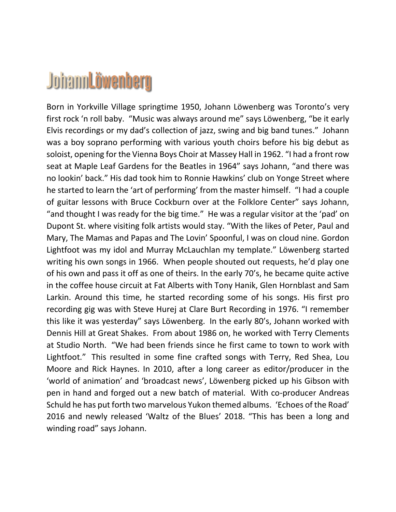## **JohannLöwenberg**

Born in Yorkville Village springtime 1950, Johann Löwenberg was Toronto's very first rock 'n roll baby. "Music was always around me" says Löwenberg, "be it early Elvis recordings or my dad's collection of jazz, swing and big band tunes." Johann was a boy soprano performing with various youth choirs before his big debut as soloist, opening for the Vienna Boys Choir at Massey Hall in 1962. "I had a front row seat at Maple Leaf Gardens for the Beatles in 1964" says Johann, "and there was no lookin' back." His dad took him to Ronnie Hawkins' club on Yonge Street where he started to learn the 'art of performing' from the master himself. "I had a couple of guitar lessons with Bruce Cockburn over at the Folklore Center" says Johann, "and thought I was ready for the big time." He was a regular visitor at the 'pad' on Dupont St. where visiting folk artists would stay. "With the likes of Peter, Paul and Mary, The Mamas and Papas and The Lovin' Spoonful, I was on cloud nine. Gordon Lightfoot was my idol and Murray McLauchlan my template." Löwenberg started writing his own songs in 1966. When people shouted out requests, he'd play one of his own and pass it off as one of theirs. In the early 70's, he became quite active in the coffee house circuit at Fat Alberts with Tony Hanik, Glen Hornblast and Sam Larkin. Around this time, he started recording some of his songs. His first pro recording gig was with Steve Hurej at Clare Burt Recording in 1976. "I remember this like it was yesterday" says Löwenberg. In the early 80's, Johann worked with Dennis Hill at Great Shakes. From about 1986 on, he worked with Terry Clements at Studio North. "We had been friends since he first came to town to work with Lightfoot." This resulted in some fine crafted songs with Terry, Red Shea, Lou Moore and Rick Haynes. In 2010, after a long career as editor/producer in the 'world of animation' and 'broadcast news', Löwenberg picked up his Gibson with pen in hand and forged out a new batch of material. With co-producer Andreas Schuld he has put forth two marvelous Yukon themed albums. 'Echoes of the Road' 2016 and newly released 'Waltz of the Blues' 2018. "This has been a long and winding road" says Johann.